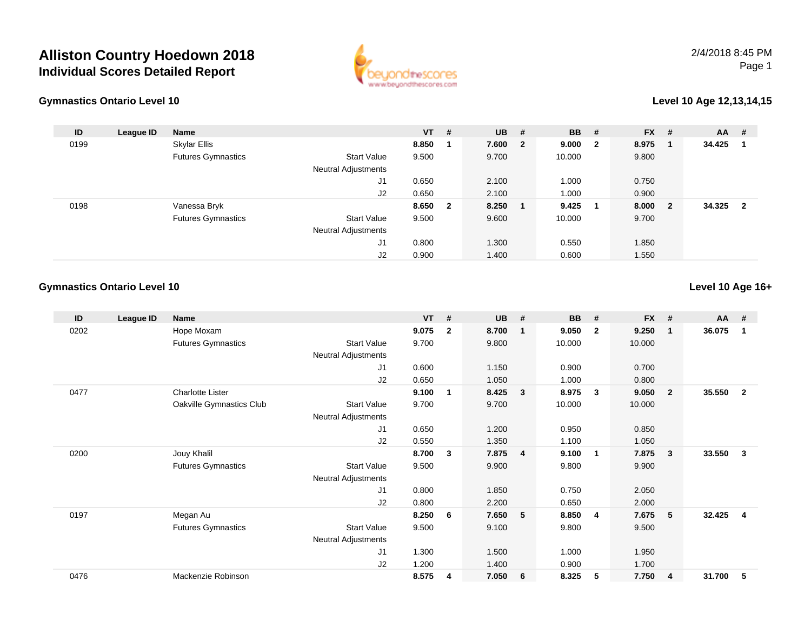## **Alliston Country Hoedown 2018Individual Scores Detailed Report**





## **Level 10 Age 12,13,14,15**

| ID   | League ID | <b>Name</b>               |                                                  | $VT$ # |                | <b>UB</b> | #                       | <b>BB</b> | - #                     | <b>FX</b> | #   | <b>AA</b> | -#                      |
|------|-----------|---------------------------|--------------------------------------------------|--------|----------------|-----------|-------------------------|-----------|-------------------------|-----------|-----|-----------|-------------------------|
| 0199 |           | Skylar Ellis              |                                                  | 8.850  |                | 7.600     | $\overline{\mathbf{2}}$ | 9.000     | $\overline{\mathbf{2}}$ | 8.975     |     | 34.425    |                         |
|      |           | <b>Futures Gymnastics</b> | <b>Start Value</b><br><b>Neutral Adjustments</b> | 9.500  |                | 9.700     |                         | 10.000    |                         | 9.800     |     |           |                         |
|      |           |                           | J1                                               | 0.650  |                | 2.100     |                         | 1.000     |                         | 0.750     |     |           |                         |
|      |           |                           | J2                                               | 0.650  |                | 2.100     |                         | 1.000     |                         | 0.900     |     |           |                         |
| 0198 |           | Vanessa Bryk              |                                                  | 8.650  | $\overline{2}$ | 8.250     |                         | 9.425     | - 1                     | 8.000     | - 2 | 34.325    | $\overline{\mathbf{2}}$ |
|      |           | <b>Futures Gymnastics</b> | <b>Start Value</b>                               | 9.500  |                | 9.600     |                         | 10.000    |                         | 9.700     |     |           |                         |
|      |           |                           | <b>Neutral Adjustments</b>                       |        |                |           |                         |           |                         |           |     |           |                         |
|      |           |                           | J <sub>1</sub>                                   | 0.800  |                | 1.300     |                         | 0.550     |                         | 1.850     |     |           |                         |
|      |           |                           | J2                                               | 0.900  |                | 1.400     |                         | 0.600     |                         | 1.550     |     |           |                         |

## **Gymnastics Ontario Level 10**

**Level 10 Age 16+**

| ID   | League ID | Name                      |                     | $VT$ # |              | <b>UB</b> | #              | <b>BB</b> | #              | <b>FX</b> | #              | <b>AA</b> | #              |
|------|-----------|---------------------------|---------------------|--------|--------------|-----------|----------------|-----------|----------------|-----------|----------------|-----------|----------------|
| 0202 |           | Hope Moxam                |                     | 9.075  | $\mathbf{2}$ | 8.700     | $\mathbf 1$    | 9.050     | $\mathbf{2}$   | 9.250     | $\mathbf{1}$   | 36.075    |                |
|      |           | <b>Futures Gymnastics</b> | <b>Start Value</b>  | 9.700  |              | 9.800     |                | 10.000    |                | 10.000    |                |           |                |
|      |           |                           | Neutral Adjustments |        |              |           |                |           |                |           |                |           |                |
|      |           |                           | J1                  | 0.600  |              | 1.150     |                | 0.900     |                | 0.700     |                |           |                |
|      |           |                           | J2                  | 0.650  |              | 1.050     |                | 1.000     |                | 0.800     |                |           |                |
| 0477 |           | <b>Charlotte Lister</b>   |                     | 9.100  | 1            | 8.425     | $\mathbf{3}$   | 8.975     | $\mathbf{3}$   | 9.050     | $\overline{2}$ | 35.550    | $\mathbf{2}$   |
|      |           | Oakville Gymnastics Club  | <b>Start Value</b>  | 9.700  |              | 9.700     |                | 10.000    |                | 10.000    |                |           |                |
|      |           |                           | Neutral Adjustments |        |              |           |                |           |                |           |                |           |                |
|      |           |                           | J <sub>1</sub>      | 0.650  |              | 1.200     |                | 0.950     |                | 0.850     |                |           |                |
|      |           |                           | J2                  | 0.550  |              | 1.350     |                | 1.100     |                | 1.050     |                |           |                |
| 0200 |           | Jouy Khalil               |                     | 8.700  | 3            | 7.875     | $\overline{4}$ | 9.100     | - 1            | 7.875     | 3              | 33.550    | 3              |
|      |           | <b>Futures Gymnastics</b> | <b>Start Value</b>  | 9.500  |              | 9.900     |                | 9.800     |                | 9.900     |                |           |                |
|      |           |                           | Neutral Adjustments |        |              |           |                |           |                |           |                |           |                |
|      |           |                           | J <sub>1</sub>      | 0.800  |              | 1.850     |                | 0.750     |                | 2.050     |                |           |                |
|      |           |                           | J2                  | 0.800  |              | 2.200     |                | 0.650     |                | 2.000     |                |           |                |
| 0197 |           | Megan Au                  |                     | 8.250  | 6            | 7.650     | 5              | 8.850     | $\overline{4}$ | 7.675     | 5              | 32.425    | $\overline{4}$ |
|      |           | <b>Futures Gymnastics</b> | <b>Start Value</b>  | 9.500  |              | 9.100     |                | 9.800     |                | 9.500     |                |           |                |
|      |           |                           | Neutral Adjustments |        |              |           |                |           |                |           |                |           |                |
|      |           |                           | J1                  | 1.300  |              | 1.500     |                | 1.000     |                | 1.950     |                |           |                |
|      |           |                           | J2                  | 1.200  |              | 1.400     |                | 0.900     |                | 1.700     |                |           |                |
| 0476 |           | Mackenzie Robinson        |                     | 8.575  | 4            | 7.050     | 6              | 8.325     | 5              | 7.750     | $\overline{4}$ | 31.700    | 5              |